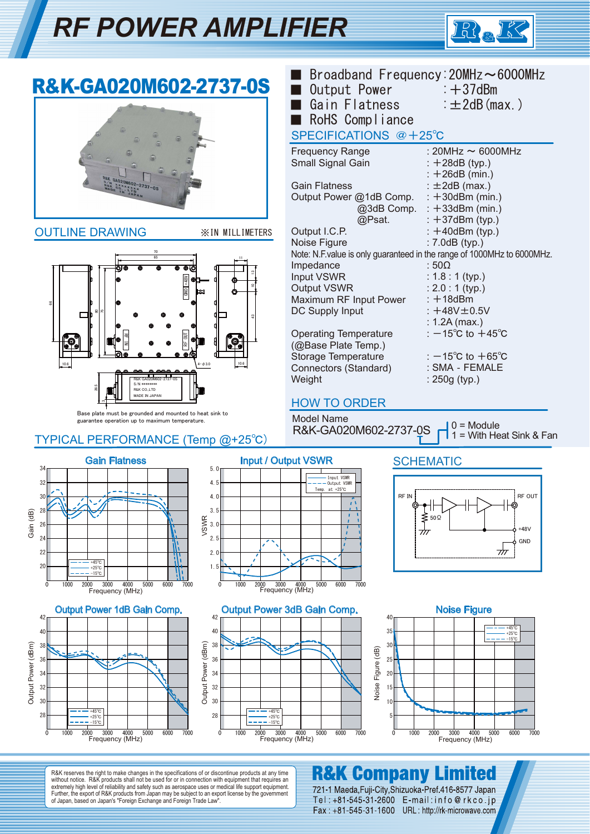# *RF POWER AMPLIFIER*



#### ■ Broadband Frequency: 20MHz~6000MHz R&K-GA020M602-2737-0S ■ Output Power : +37dBm ■ Gain Flatness : ±2dB(max.) ■ RoHS Compliance SPECIFICATIONS @+25℃ Frequency Range : 20MHz ~ 6000MHz Small Signal Gain : +28dB (typ.) :  $+26dB$  (min.) Gain Flatness :  $\pm 2$ dB (max.) Output Power @1dB Comp.  $: +30$ dBm (min.) @3dB Comp.  $: +33$ dBm (min.) @Psat. : +37dBm (typ.) Output I.C.P. OUTLINE DRAWING ※IN MILLIMETERS  $: +40$ dBm (typ.) Noise Figure : 7.0dB (typ.) Note: N.F.value is only guaranteed in the range of 1000MHz to 6000MHz. 70 65 11 Impedance : 50Ω  $\tilde{c}$ : 1.8 : 1 (typ.) Input VSWR RF OUT GND +48V Output VSWR : 2.0 : 1 (typ.) 10 Maximum RF Input Power  $: +18$ dBm 66 DC Supply Input :  $+48V \pm 0.5V$ 80 75 г ្ន : 1.2A (max.) Operating Temperature :  $-15^{\circ}$ C to  $+45^{\circ}$ C RF IN (@Base Plate Temp.) Storage Temperature :  $-15^{\circ}$ C to  $+65^{\circ}$ C 10.6 10.6  $4-φ3.0$ Connectors (Standard) : SMA‐FEMALE **Weight** : 250g (typ.) R&K GA020M602-2737-0S S/N \*\*\*\*\*\*\*\* 26.5 R&K CO.,LTD MADE IN JAP HOW TO ORDER Base plate must be grounded and mounted to heat sink to Model Name guarantee operation up to maximum temperature.  $0 =$  Module R&K-GA020M602-2737-0S 1 = With Heat Sink & FanTYPICAL PERFORMANCE (Temp @+25℃) Gain Flatness **Input / Output VSWR SCHEMATIC** 34 5.0 Input VSWR<br>Output VSWR 32 4.5 at  $+2$ RF IN REAL PROPERTY  $\overline{3}$ 4.0 3.5 28 Gain (dB) ≸<br>के<br>के VSWR  $\overline{2}$ 3.0 +48V  $\overline{2}$ 2.5 **GND**  $\overline{\tau}$  $2<sup>2</sup>$  $2<sub>0</sub>$ +45℃ 20  $1.5$ +25℃ -15℃ 2000 3000 4000<br>Frequency (MHz) 0 1000 2000 3000 4000 5000 6000 7000 0 1000 2000 3000 4000 5000 6000 7000 Frequency (MHz) Output Power 1dB Gain Comp. Output Power 3dB Gain Comp. Noise Figure 42 42  $\overline{40}$ +45℃ 40 40  $\overline{3}$ +25℃ -15℃  $38$ 38 Output Power (dBm)  $(dBm)$  $3<sub>0</sub>$ Output Power (dBm)  $\overline{AB}$ 36 36  $25$ 34

Output Power (dBm) Output Power 34 32 30 +45℃ 28 +25℃ -15℃ 0 1000 2000 3000 4000 5000 6000 7000 0 1000 2000 3000 4000 5000 6000 7000 0 1000 2000 3000 4000 5000 6000 7000 Frequency (MHz) Frequency (MHz)



R&K reserves the right to make changes in the specifications of or discontinue products at any time without notice. R&K products shall not be used for or in connection with equipment that requires an extremely high level of reliability and safety such as aerospace uses or medical life support equipment. Further, the export of R&K products from Japan may be subject to an export license by the government of Japan, based on Japan's "Foreign Exchange and Foreign Trade Law".

 $3<sup>2</sup>$ 30  $28$ 

+25℃ +45℃ -15℃

### **R&K Company** Limited

721-1 Maeda, Fuji-City, Shizuoka-Pref. 416-8577 Japan Tel: +81-545-31-2600 E-mail: info@rkco.jp Fax: +81-545-31-1600 URL: http://rk-microwave.com